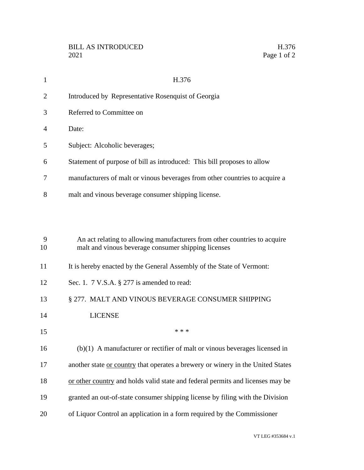| -1             | H.376                                                                       |
|----------------|-----------------------------------------------------------------------------|
| 2              | Introduced by Representative Rosenquist of Georgia                          |
| 3              | Referred to Committee on                                                    |
| $\overline{4}$ | Date:                                                                       |
| 5              | Subject: Alcoholic beverages;                                               |
| 6              | Statement of purpose of bill as introduced: This bill proposes to allow     |
| 7              | manufacturers of malt or vinous beverages from other countries to acquire a |
| 8              | malt and vinous beverage consumer shipping license.                         |
|                |                                                                             |

| 9<br>10 | An act relating to allowing manufacturers from other countries to acquire<br>malt and vinous beverage consumer shipping licenses |
|---------|----------------------------------------------------------------------------------------------------------------------------------|
| 11      | It is hereby enacted by the General Assembly of the State of Vermont:                                                            |
| 12      | Sec. 1. $7 \text{ V.S.A. }$ \$ 277 is amended to read:                                                                           |
| 13      | § 277. MALT AND VINOUS BEVERAGE CONSUMER SHIPPING                                                                                |
| 14      | <b>LICENSE</b>                                                                                                                   |
| 15      | * * *                                                                                                                            |
| 16      | $(b)(1)$ A manufacturer or rectifier of malt or vinous beverages licensed in                                                     |
| 17      | another state or country that operates a brewery or winery in the United States                                                  |
| 18      | or other country and holds valid state and federal permits and licenses may be                                                   |
| 19      | granted an out-of-state consumer shipping license by filing with the Division                                                    |
| 20      | of Liquor Control an application in a form required by the Commissioner                                                          |